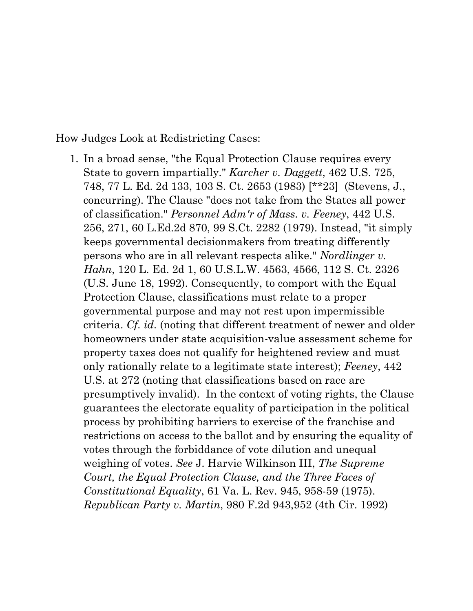How Judges Look at Redistricting Cases:

1. In a broad sense, "the Equal [Protection](https://advance.lexis.com/document/?pdmfid=1000516&crid=81423c42-3e57-4339-bd47-03d9fffddd85&pddocfullpath=%2Fshared%2Fdocument%2Fcases%2Furn%3AcontentItem%3A3S4X-0000-008H-V530-00000-00&pdcontentcomponentid=6388&pdshepid=urn%3AcontentItem%3A7XWN-0BY1-2NSF-C258-00000-00&pdteaserkey=sr1&pditab=allpods&ecomp=ydgpk&earg=sr1&prid=1e852076-dd2f-45cd-a438-3b7a8aef32a3) Clause requires every State to govern impartially." *[Karcher](https://advance.lexis.com/document/?pdmfid=1000516&crid=81423c42-3e57-4339-bd47-03d9fffddd85&pddocfullpath=%2Fshared%2Fdocument%2Fcases%2Furn%3AcontentItem%3A3S4X-0000-008H-V530-00000-00&pdcontentcomponentid=6388&pdshepid=urn%3AcontentItem%3A7XWN-0BY1-2NSF-C258-00000-00&pdteaserkey=sr1&pditab=allpods&ecomp=ydgpk&earg=sr1&prid=1e852076-dd2f-45cd-a438-3b7a8aef32a3) v. Daggett*, 462 U.S. 725[,](https://advance.lexis.com/document/?pdmfid=1000516&crid=81423c42-3e57-4339-bd47-03d9fffddd85&pddocfullpath=%2Fshared%2Fdocument%2Fcases%2Furn%3AcontentItem%3A3S4X-0000-008H-V530-00000-00&pdcontentcomponentid=6388&pdshepid=urn%3AcontentItem%3A7XWN-0BY1-2NSF-C258-00000-00&pdteaserkey=sr1&pditab=allpods&ecomp=ydgpk&earg=sr1&prid=1e852076-dd2f-45cd-a438-3b7a8aef32a3) 748, 77 L. Ed. 2d 133, 103 S. Ct. 2653 [\(1983\)](https://advance.lexis.com/document/?pdmfid=1000516&crid=81423c42-3e57-4339-bd47-03d9fffddd85&pddocfullpath=%2Fshared%2Fdocument%2Fcases%2Furn%3AcontentItem%3A3S4X-0000-008H-V530-00000-00&pdcontentcomponentid=6388&pdshepid=urn%3AcontentItem%3A7XWN-0BY1-2NSF-C258-00000-00&pdteaserkey=sr1&pditab=allpods&ecomp=ydgpk&earg=sr1&prid=1e852076-dd2f-45cd-a438-3b7a8aef32a3) [\[\\*\\*23\]](https://advance.lexis.com/document/?pdmfid=1000516&crid=81423c42-3e57-4339-bd47-03d9fffddd85&pddocfullpath=%2Fshared%2Fdocument%2Fcases%2Furn%3AcontentItem%3A3S4X-0000-008H-V530-00000-00&pdcontentcomponentid=6388&pdshepid=urn%3AcontentItem%3A7XWN-0BY1-2NSF-C258-00000-00&pdteaserkey=sr1&pditab=allpods&ecomp=ydgpk&earg=sr1&prid=1e852076-dd2f-45cd-a438-3b7a8aef32a3) [\(Stevens,](https://advance.lexis.com/document/?pdmfid=1000516&crid=81423c42-3e57-4339-bd47-03d9fffddd85&pddocfullpath=%2Fshared%2Fdocument%2Fcases%2Furn%3AcontentItem%3A3S4X-0000-008H-V530-00000-00&pdcontentcomponentid=6388&pdshepid=urn%3AcontentItem%3A7XWN-0BY1-2NSF-C258-00000-00&pdteaserkey=sr1&pditab=allpods&ecomp=ydgpk&earg=sr1&prid=1e852076-dd2f-45cd-a438-3b7a8aef32a3) J., concurring). The Clause "does not take from the States all power of classification." *[Personnel](https://advance.lexis.com/document/?pdmfid=1000516&crid=81423c42-3e57-4339-bd47-03d9fffddd85&pddocfullpath=%2Fshared%2Fdocument%2Fcases%2Furn%3AcontentItem%3A3S4X-0000-008H-V530-00000-00&pdcontentcomponentid=6388&pdshepid=urn%3AcontentItem%3A7XWN-0BY1-2NSF-C258-00000-00&pdteaserkey=sr1&pditab=allpods&ecomp=ydgpk&earg=sr1&prid=1e852076-dd2f-45cd-a438-3b7a8aef32a3) Adm'r of Mass. v. Feeney*, 442 U.S[.](https://advance.lexis.com/document/?pdmfid=1000516&crid=81423c42-3e57-4339-bd47-03d9fffddd85&pddocfullpath=%2Fshared%2Fdocument%2Fcases%2Furn%3AcontentItem%3A3S4X-0000-008H-V530-00000-00&pdcontentcomponentid=6388&pdshepid=urn%3AcontentItem%3A7XWN-0BY1-2NSF-C258-00000-00&pdteaserkey=sr1&pditab=allpods&ecomp=ydgpk&earg=sr1&prid=1e852076-dd2f-45cd-a438-3b7a8aef32a3) 256, 271, 60 [L.Ed.2d](https://advance.lexis.com/document/?pdmfid=1000516&crid=81423c42-3e57-4339-bd47-03d9fffddd85&pddocfullpath=%2Fshared%2Fdocument%2Fcases%2Furn%3AcontentItem%3A3S4X-0000-008H-V530-00000-00&pdcontentcomponentid=6388&pdshepid=urn%3AcontentItem%3A7XWN-0BY1-2NSF-C258-00000-00&pdteaserkey=sr1&pditab=allpods&ecomp=ydgpk&earg=sr1&prid=1e852076-dd2f-45cd-a438-3b7a8aef32a3) 870, 99 S.Ct. 2282 (1979). Instead, "it simply keeps governmental decisionmakers from treating differently persons who are in all relevant respects alike." *[Nordlinger](https://advance.lexis.com/document/?pdmfid=1000516&crid=81423c42-3e57-4339-bd47-03d9fffddd85&pddocfullpath=%2Fshared%2Fdocument%2Fcases%2Furn%3AcontentItem%3A3S4X-0000-008H-V530-00000-00&pdcontentcomponentid=6388&pdshepid=urn%3AcontentItem%3A7XWN-0BY1-2NSF-C258-00000-00&pdteaserkey=sr1&pditab=allpods&ecomp=ydgpk&earg=sr1&prid=1e852076-dd2f-45cd-a438-3b7a8aef32a3) v. Hahn*, 120 L. Ed. 2d 1, 60 [U.S.L.W.](https://advance.lexis.com/document/?pdmfid=1000516&crid=81423c42-3e57-4339-bd47-03d9fffddd85&pddocfullpath=%2Fshared%2Fdocument%2Fcases%2Furn%3AcontentItem%3A3S4X-0000-008H-V530-00000-00&pdcontentcomponentid=6388&pdshepid=urn%3AcontentItem%3A7XWN-0BY1-2NSF-C258-00000-00&pdteaserkey=sr1&pditab=allpods&ecomp=ydgpk&earg=sr1&prid=1e852076-dd2f-45cd-a438-3b7a8aef32a3) 4563, 4566, 112 S. Ct. 2326 (U.S. June 18, [1992\).](https://advance.lexis.com/document/?pdmfid=1000516&crid=81423c42-3e57-4339-bd47-03d9fffddd85&pddocfullpath=%2Fshared%2Fdocument%2Fcases%2Furn%3AcontentItem%3A3S4X-0000-008H-V530-00000-00&pdcontentcomponentid=6388&pdshepid=urn%3AcontentItem%3A7XWN-0BY1-2NSF-C258-00000-00&pdteaserkey=sr1&pditab=allpods&ecomp=ydgpk&earg=sr1&prid=1e852076-dd2f-45cd-a438-3b7a8aef32a3) Consequently, to comport with the [Equal](https://advance.lexis.com/document/?pdmfid=1000516&crid=81423c42-3e57-4339-bd47-03d9fffddd85&pddocfullpath=%2Fshared%2Fdocument%2Fcases%2Furn%3AcontentItem%3A3S4X-0000-008H-V530-00000-00&pdcontentcomponentid=6388&pdshepid=urn%3AcontentItem%3A7XWN-0BY1-2NSF-C258-00000-00&pdteaserkey=sr1&pditab=allpods&ecomp=ydgpk&earg=sr1&prid=1e852076-dd2f-45cd-a438-3b7a8aef32a3) [Protection](https://advance.lexis.com/document/?pdmfid=1000516&crid=81423c42-3e57-4339-bd47-03d9fffddd85&pddocfullpath=%2Fshared%2Fdocument%2Fcases%2Furn%3AcontentItem%3A3S4X-0000-008H-V530-00000-00&pdcontentcomponentid=6388&pdshepid=urn%3AcontentItem%3A7XWN-0BY1-2NSF-C258-00000-00&pdteaserkey=sr1&pditab=allpods&ecomp=ydgpk&earg=sr1&prid=1e852076-dd2f-45cd-a438-3b7a8aef32a3) Clause, classifications must relate to a proper governmental purpose and may not rest upon impermissible criteria. *Cf. id.* (noting that different treatment of newer and older homeowners under state acquisition-value assessment scheme for property taxes does not qualify for heightened review and must only rationally relate to a legitimate state interest); *[Feeney](https://advance.lexis.com/document/?pdmfid=1000516&crid=81423c42-3e57-4339-bd47-03d9fffddd85&pddocfullpath=%2Fshared%2Fdocument%2Fcases%2Furn%3AcontentItem%3A3S4X-0000-008H-V530-00000-00&pdcontentcomponentid=6388&pdshepid=urn%3AcontentItem%3A7XWN-0BY1-2NSF-C258-00000-00&pdteaserkey=sr1&pditab=allpods&ecomp=ydgpk&earg=sr1&prid=1e852076-dd2f-45cd-a438-3b7a8aef32a3)*, 44[2](https://advance.lexis.com/document/?pdmfid=1000516&crid=81423c42-3e57-4339-bd47-03d9fffddd85&pddocfullpath=%2Fshared%2Fdocument%2Fcases%2Furn%3AcontentItem%3A3S4X-0000-008H-V530-00000-00&pdcontentcomponentid=6388&pdshepid=urn%3AcontentItem%3A7XWN-0BY1-2NSF-C258-00000-00&pdteaserkey=sr1&pditab=allpods&ecomp=ydgpk&earg=sr1&prid=1e852076-dd2f-45cd-a438-3b7a8aef32a3) [U.S.](https://advance.lexis.com/document/?pdmfid=1000516&crid=81423c42-3e57-4339-bd47-03d9fffddd85&pddocfullpath=%2Fshared%2Fdocument%2Fcases%2Furn%3AcontentItem%3A3S4X-0000-008H-V530-00000-00&pdcontentcomponentid=6388&pdshepid=urn%3AcontentItem%3A7XWN-0BY1-2NSF-C258-00000-00&pdteaserkey=sr1&pditab=allpods&ecomp=ydgpk&earg=sr1&prid=1e852076-dd2f-45cd-a438-3b7a8aef32a3) at 272 (noting that classifications based on race are presumptively invalid). In the context of voting rights, the Clause guarantees the electorate equality of participation in the political process by prohibiting barriers to exercise of the franchise and restrictions on access to the ballot and by ensuring the equality of votes through the forbiddance of vote dilution and unequal weighing of votes. *See* J. Harvie Wilkinson III, *The Supreme Court, the Equal [Protection](https://advance.lexis.com/document/?pdmfid=1000516&crid=81423c42-3e57-4339-bd47-03d9fffddd85&pddocfullpath=%2Fshared%2Fdocument%2Fcases%2Furn%3AcontentItem%3A3S4X-0000-008H-V530-00000-00&pdcontentcomponentid=6388&pdshepid=urn%3AcontentItem%3A7XWN-0BY1-2NSF-C258-00000-00&pdteaserkey=sr1&pditab=allpods&ecomp=ydgpk&earg=sr1&prid=1e852076-dd2f-45cd-a438-3b7a8aef32a3) Clause, and the Three Faces of Constitutional Equality*, 61 Va. L. Rev. 945, 958-59 (1975). *Republican Party v. Martin*, 980 F.2d 943,952 (4th Cir. 1992)